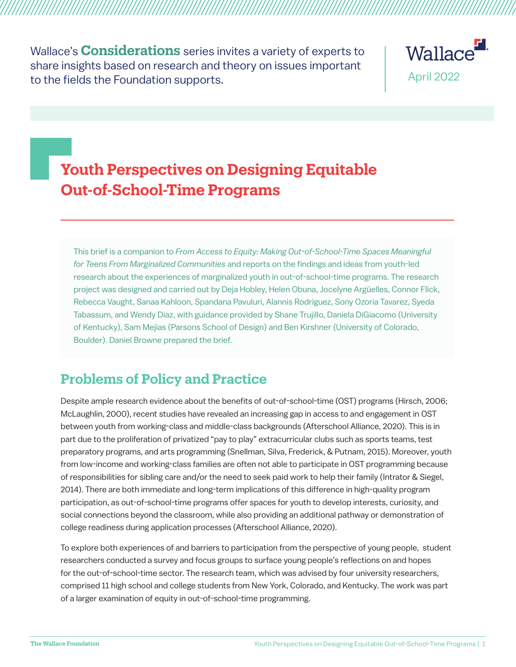Wallace's **Considerations** series invites a variety of experts to share insights based on research and theory on issues important to the fields the Foundation supports.



# **Youth Perspectives on Designing Equitable Out-of-School-Time Programs**

This brief is a companion to *From Access to Equity: Making Out-of-School-Time Spaces Meaningful for Teens From Marginalized Communities* and reports on the findings and ideas from youth-led research about the experiences of marginalized youth in out-of-school-time programs. The research project was designed and carried out by Deja Hobley, Helen Obuna, Jocelyne Argüelles, Connor Flick, Rebecca Vaught, Sanaa Kahloon, Spandana Pavuluri, Alannis Rodriguez, Sony Ozoria Tavarez, Syeda Tabassum, and Wendy Diaz, with guidance provided by Shane Trujillo, Daniela DiGiacomo (University of Kentucky), Sam Mejias (Parsons School of Design) and Ben Kirshner (University of Colorado, Boulder). Daniel Browne prepared the brief.

## **Problems of Policy and Practice**

Despite ample research evidence about the benefits of out-of-school-time (OST) programs (Hirsch, 2006; McLaughlin, 2000), recent studies have revealed an increasing gap in access to and engagement in OST between youth from working-class and middle-class backgrounds (Afterschool Alliance, 2020). This is in part due to the proliferation of privatized "pay to play" extracurricular clubs such as sports teams, test preparatory programs, and arts programming (Snellman, Silva, Frederick, & Putnam, 2015). Moreover, youth from low-income and working-class families are often not able to participate in OST programming because of responsibilities for sibling care and/or the need to seek paid work to help their family (Intrator & Siegel, 2014). There are both immediate and long-term implications of this difference in high-quality program participation, as out-of-school-time programs offer spaces for youth to develop interests, curiosity, and social connections beyond the classroom, while also providing an additional pathway or demonstration of college readiness during application processes (Afterschool Alliance, 2020).

To explore both experiences of and barriers to participation from the perspective of young people, student researchers conducted a survey and focus groups to surface young people's reflections on and hopes for the out-of-school-time sector. The research team, which was advised by four university researchers, comprised 11 high school and college students from New York, Colorado, and Kentucky. The work was part of a larger examination of equity in out-of-school-time programming.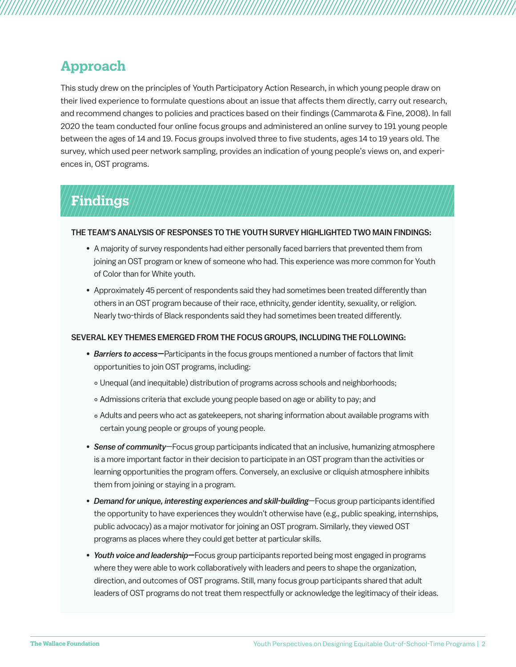### **Approach**

This study drew on the principles of Youth Participatory Action Research, in which young people draw on their lived experience to formulate questions about an issue that affects them directly, carry out research, and recommend changes to policies and practices based on their findings (Cammarota & Fine, 2008). In fall 2020 the team conducted four online focus groups and administered an online survey to 191 young people between the ages of 14 and 19. Focus groups involved three to five students, ages 14 to 19 years old. The survey, which used peer network sampling, provides an indication of young people's views on, and experiences in, OST programs.

# **Findings**

#### THE TEAM'S ANALYSIS OF RESPONSES TO THE YOUTH SURVEY HIGHLIGHTED TWO MAIN FINDINGS:

- A majority of survey respondents had either personally faced barriers that prevented them from joining an OST program or knew of someone who had. This experience was more common for Youth of Color than for White youth.
- Approximately 45 percent of respondents said they had sometimes been treated differently than others in an OST program because of their race, ethnicity, gender identity, sexuality, or religion. Nearly two-thirds of Black respondents said they had sometimes been treated differently.

#### SEVERAL KEY THEMES EMERGED FROM THE FOCUS GROUPS, INCLUDING THE FOLLOWING:

- *• Barriers to access—*Participants in the focus groups mentioned a number of factors that limit opportunities to join OST programs, including:
	- ° Unequal (and inequitable) distribution of programs across schools and neighborhoods;
	- ° Admissions criteria that exclude young people based on age or ability to pay; and
	- ° Adults and peers who act as gatekeepers, not sharing information about available programs with certain young people or groups of young people.
- *Sense of community*—Focus group participants indicated that an inclusive, humanizing atmosphere is a more important factor in their decision to participate in an OST program than the activities or learning opportunities the program offers. Conversely, an exclusive or cliquish atmosphere inhibits them from joining or staying in a program.
- *Demand for unique, interesting experiences and skill-building*—Focus group participants identified the opportunity to have experiences they wouldn't otherwise have (e.g., public speaking, internships, public advocacy) as a major motivator for joining an OST program. Similarly, they viewed OST programs as places where they could get better at particular skills.
- *Youth voice and leadership—*Focus group participants reported being most engaged in programs where they were able to work collaboratively with leaders and peers to shape the organization, direction, and outcomes of OST programs. Still, many focus group participants shared that adult leaders of OST programs do not treat them respectfully or acknowledge the legitimacy of their ideas.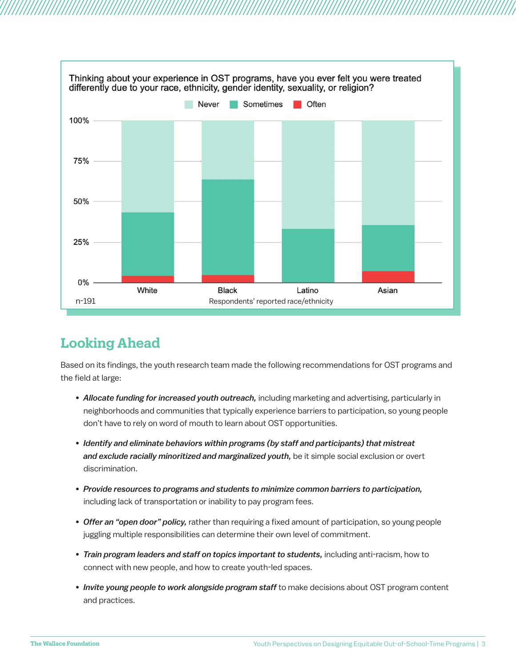

# **Looking Ahead**

Based on its findings, the youth research team made the following recommendations for OST programs and the field at large:

- *Allocate funding for increased youth outreach,* including marketing and advertising, particularly in neighborhoods and communities that typically experience barriers to participation, so young people don't have to rely on word of mouth to learn about OST opportunities.
- *Identify and eliminate behaviors within programs (by staff and participants) that mistreat and exclude racially minoritized and marginalized youth,* be it simple social exclusion or overt discrimination.
- *Provide resources to programs and students to minimize common barriers to participation,* including lack of transportation or inability to pay program fees.
- *Offer an "open door" policy,* rather than requiring a fixed amount of participation, so young people juggling multiple responsibilities can determine their own level of commitment.
- *Train program leaders and staff on topics important to students,* including anti-racism, how to connect with new people, and how to create youth-led spaces.
- *Invite young people to work alongside program staff* to make decisions about OST program content and practices.